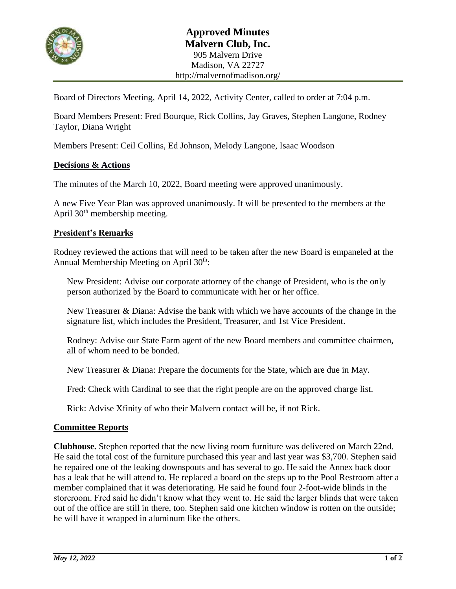

Board of Directors Meeting, April 14, 2022, Activity Center, called to order at 7:04 p.m.

Board Members Present: Fred Bourque, Rick Collins, Jay Graves, Stephen Langone, Rodney Taylor, Diana Wright

Members Present: Ceil Collins, Ed Johnson, Melody Langone, Isaac Woodson

## **Decisions & Actions**

The minutes of the March 10, 2022, Board meeting were approved unanimously.

A new Five Year Plan was approved unanimously. It will be presented to the members at the April  $30<sup>th</sup>$  membership meeting.

## **President's Remarks**

Rodney reviewed the actions that will need to be taken after the new Board is empaneled at the Annual Membership Meeting on April 30<sup>th</sup>:

New President: Advise our corporate attorney of the change of President, who is the only person authorized by the Board to communicate with her or her office.

New Treasurer & Diana: Advise the bank with which we have accounts of the change in the signature list, which includes the President, Treasurer, and 1st Vice President.

Rodney: Advise our State Farm agent of the new Board members and committee chairmen, all of whom need to be bonded.

New Treasurer & Diana: Prepare the documents for the State, which are due in May.

Fred: Check with Cardinal to see that the right people are on the approved charge list.

Rick: Advise Xfinity of who their Malvern contact will be, if not Rick.

### **Committee Reports**

**Clubhouse.** Stephen reported that the new living room furniture was delivered on March 22nd. He said the total cost of the furniture purchased this year and last year was \$3,700. Stephen said he repaired one of the leaking downspouts and has several to go. He said the Annex back door has a leak that he will attend to. He replaced a board on the steps up to the Pool Restroom after a member complained that it was deteriorating. He said he found four 2-foot-wide blinds in the storeroom. Fred said he didn't know what they went to. He said the larger blinds that were taken out of the office are still in there, too. Stephen said one kitchen window is rotten on the outside; he will have it wrapped in aluminum like the others.